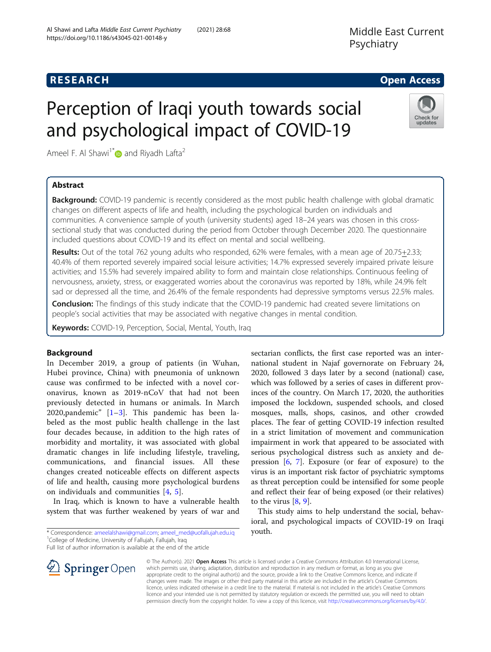## **RESEARCH CHE Open Access**

Check for updates

# Perception of Iraqi youth towards social and psychological impact of COVID-19

Ameel F. Al Shawi<sup>1[\\*](http://orcid.org/0000-0003-3555-3492)</sup> and Riyadh Lafta<sup>2</sup>

## Abstract

**Background:** COVID-19 pandemic is recently considered as the most public health challenge with global dramatic changes on different aspects of life and health, including the psychological burden on individuals and communities. A convenience sample of youth (university students) aged 18–24 years was chosen in this crosssectional study that was conducted during the period from October through December 2020. The questionnaire included questions about COVID-19 and its effect on mental and social wellbeing.

Results: Out of the total 762 young adults who responded, 62% were females, with a mean age of 20.75+2.33; 40.4% of them reported severely impaired social leisure activities; 14.7% expressed severely impaired private leisure activities; and 15.5% had severely impaired ability to form and maintain close relationships. Continuous feeling of nervousness, anxiety, stress, or exaggerated worries about the coronavirus was reported by 18%, while 24.9% felt sad or depressed all the time, and 26.4% of the female respondents had depressive symptoms versus 22.5% males.

**Conclusion:** The findings of this study indicate that the COVID-19 pandemic had created severe limitations on people's social activities that may be associated with negative changes in mental condition.

Keywords: COVID-19, Perception, Social, Mental, Youth, Iraq

## Background

In December 2019, a group of patients (in Wuhan, Hubei province, China) with pneumonia of unknown cause was confirmed to be infected with a novel coronavirus, known as 2019-nCoV that had not been previously detected in humans or animals. In March 2020,pandemic" [[1](#page-3-0)–[3\]](#page-3-0). This pandemic has been labeled as the most public health challenge in the last four decades because, in addition to the high rates of morbidity and mortality, it was associated with global dramatic changes in life including lifestyle, traveling, communications, and financial issues. All these changes created noticeable effects on different aspects of life and health, causing more psychological burdens on individuals and communities [[4,](#page-3-0) [5\]](#page-3-0).

In Iraq, which is known to have a vulnerable health system that was further weakened by years of war and

\* Correspondence: [ameelalshawi@gmail.com](mailto:ameelalshawi@gmail.com); [ameel\\_med@uofallujah.edu.iq](mailto:ameel_med@uofallujah.edu.iq) <sup>1</sup> College of Medicine, University of Fallujah, Fallujah, Iraq

Full list of author information is available at the end of the article

national student in Najaf governorate on February 24, 2020, followed 3 days later by a second (national) case, which was followed by a series of cases in different provinces of the country. On March 17, 2020, the authorities imposed the lockdown, suspended schools, and closed mosques, malls, shops, casinos, and other crowded places. The fear of getting COVID-19 infection resulted in a strict limitation of movement and communication impairment in work that appeared to be associated with serious psychological distress such as anxiety and depression [[6,](#page-3-0) [7\]](#page-3-0). Exposure (or fear of exposure) to the virus is an important risk factor of psychiatric symptoms as threat perception could be intensified for some people and reflect their fear of being exposed (or their relatives) to the virus  $[8, 9]$  $[8, 9]$  $[8, 9]$  $[8, 9]$ .

sectarian conflicts, the first case reported was an inter-

This study aims to help understand the social, behavioral, and psychological impacts of COVID-19 on Iraqi youth.



© The Author(s). 2021 Open Access This article is licensed under a Creative Commons Attribution 4.0 International License, which permits use, sharing, adaptation, distribution and reproduction in any medium or format, as long as you give appropriate credit to the original author(s) and the source, provide a link to the Creative Commons licence, and indicate if changes were made. The images or other third party material in this article are included in the article's Creative Commons licence, unless indicated otherwise in a credit line to the material. If material is not included in the article's Creative Commons licence and your intended use is not permitted by statutory regulation or exceeds the permitted use, you will need to obtain permission directly from the copyright holder. To view a copy of this licence, visit <http://creativecommons.org/licenses/by/4.0/>.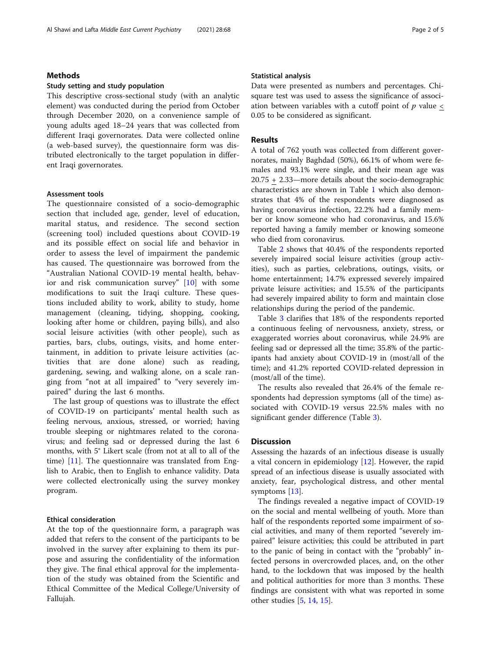## Methods

#### Study setting and study population

This descriptive cross-sectional study (with an analytic element) was conducted during the period from October through December 2020, on a convenience sample of young adults aged 18–24 years that was collected from different Iraqi governorates. Data were collected online (a web-based survey), the questionnaire form was distributed electronically to the target population in different Iraqi governorates.

## Assessment tools

The questionnaire consisted of a socio-demographic section that included age, gender, level of education, marital status, and residence. The second section (screening tool) included questions about COVID-19 and its possible effect on social life and behavior in order to assess the level of impairment the pandemic has caused. The questionnaire was borrowed from the "Australian National COVID-19 mental health, behavior and risk communication survey" [[10](#page-3-0)] with some modifications to suit the Iraqi culture. These questions included ability to work, ability to study, home management (cleaning, tidying, shopping, cooking, looking after home or children, paying bills), and also social leisure activities (with other people), such as parties, bars, clubs, outings, visits, and home entertainment, in addition to private leisure activities (activities that are done alone) such as reading, gardening, sewing, and walking alone, on a scale ranging from "not at all impaired" to "very severely impaired" during the last 6 months.

The last group of questions was to illustrate the effect of COVID-19 on participants' mental health such as feeling nervous, anxious, stressed, or worried; having trouble sleeping or nightmares related to the coronavirus; and feeling sad or depressed during the last 6 months, with 5° Likert scale (from not at all to all of the time) [\[11](#page-3-0)]. The questionnaire was translated from English to Arabic, then to English to enhance validity. Data were collected electronically using the survey monkey program.

#### Ethical consideration

At the top of the questionnaire form, a paragraph was added that refers to the consent of the participants to be involved in the survey after explaining to them its purpose and assuring the confidentiality of the information they give. The final ethical approval for the implementation of the study was obtained from the Scientific and Ethical Committee of the Medical College/University of Fallujah.

#### Statistical analysis

Data were presented as numbers and percentages. Chisquare test was used to assess the significance of association between variables with a cutoff point of  $p$  value  $\lt$ 0.05 to be considered as significant.

## Results

A total of 762 youth was collected from different governorates, mainly Baghdad (50%), 66.1% of whom were females and 93.1% were single, and their mean age was 20.75 + 2.33—more details about the socio-demographic characteristics are shown in Table [1](#page-2-0) which also demonstrates that 4% of the respondents were diagnosed as having coronavirus infection, 22.2% had a family member or know someone who had coronavirus, and 15.6% reported having a family member or knowing someone who died from coronavirus.

Table [2](#page-2-0) shows that 40.4% of the respondents reported severely impaired social leisure activities (group activities), such as parties, celebrations, outings, visits, or home entertainment; 14.7% expressed severely impaired private leisure activities; and 15.5% of the participants had severely impaired ability to form and maintain close relationships during the period of the pandemic.

Table [3](#page-3-0) clarifies that 18% of the respondents reported a continuous feeling of nervousness, anxiety, stress, or exaggerated worries about coronavirus, while 24.9% are feeling sad or depressed all the time; 35.8% of the participants had anxiety about COVID-19 in (most/all of the time); and 41.2% reported COVID-related depression in (most/all of the time).

The results also revealed that 26.4% of the female respondents had depression symptoms (all of the time) associated with COVID-19 versus 22.5% males with no significant gender difference (Table [3](#page-3-0)).

## **Discussion**

Assessing the hazards of an infectious disease is usually a vital concern in epidemiology [[12\]](#page-4-0). However, the rapid spread of an infectious disease is usually associated with anxiety, fear, psychological distress, and other mental symptoms [[13](#page-4-0)].

The findings revealed a negative impact of COVID-19 on the social and mental wellbeing of youth. More than half of the respondents reported some impairment of social activities, and many of them reported "severely impaired" leisure activities; this could be attributed in part to the panic of being in contact with the "probably" infected persons in overcrowded places, and, on the other hand, to the lockdown that was imposed by the health and political authorities for more than 3 months. These findings are consistent with what was reported in some other studies [[5,](#page-3-0) [14](#page-4-0), [15](#page-4-0)].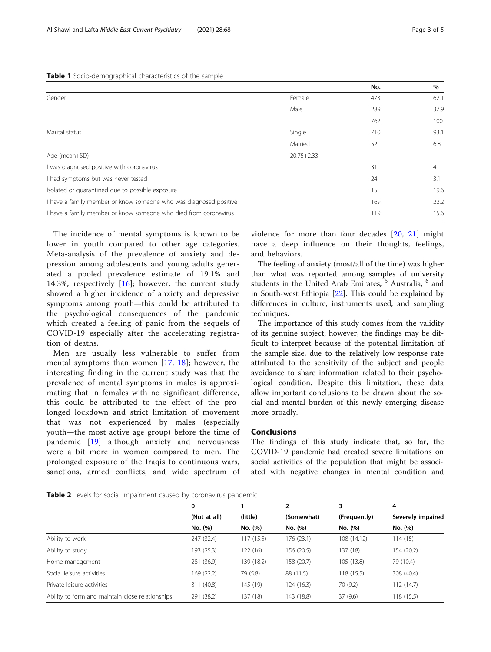### <span id="page-2-0"></span>Table 1 Socio-demographical characteristics of the sample

|                                                                   |                | No. | %    |
|-------------------------------------------------------------------|----------------|-----|------|
| Gender                                                            | Female         | 473 | 62.1 |
|                                                                   | Male           | 289 | 37.9 |
|                                                                   |                | 762 | 100  |
| Marital status                                                    | Single         | 710 | 93.1 |
|                                                                   | Married        | 52  | 6.8  |
| Age (mean+SD)                                                     | $20.75 + 2.33$ |     |      |
| I was diagnosed positive with coronavirus                         |                | 31  | 4    |
| I had symptoms but was never tested                               |                | 24  | 3.1  |
| Isolated or quarantined due to possible exposure                  |                | 15  | 19.6 |
| I have a family member or know someone who was diagnosed positive |                | 169 | 22.2 |
| I have a family member or know someone who died from coronavirus  |                | 119 | 15.6 |

The incidence of mental symptoms is known to be lower in youth compared to other age categories. Meta-analysis of the prevalence of anxiety and depression among adolescents and young adults generated a pooled prevalence estimate of 19.1% and 14.3%, respectively [[16\]](#page-4-0); however, the current study showed a higher incidence of anxiety and depressive symptoms among youth—this could be attributed to the psychological consequences of the pandemic which created a feeling of panic from the sequels of COVID-19 especially after the accelerating registration of deaths.

Men are usually less vulnerable to suffer from mental symptoms than women [[17](#page-4-0), [18\]](#page-4-0); however, the interesting finding in the current study was that the prevalence of mental symptoms in males is approximating that in females with no significant difference, this could be attributed to the effect of the prolonged lockdown and strict limitation of movement that was not experienced by males (especially youth—the most active age group) before the time of pandemic [\[19\]](#page-4-0) although anxiety and nervousness were a bit more in women compared to men. The prolonged exposure of the Iraqis to continuous wars, sanctions, armed conflicts, and wide spectrum of violence for more than four decades [[20,](#page-4-0) [21](#page-4-0)] might have a deep influence on their thoughts, feelings, and behaviors.

The feeling of anxiety (most/all of the time) was higher than what was reported among samples of university students in the United Arab Emirates, <sup>5</sup> Australia, <sup>6</sup> and in South-west Ethiopia [\[22](#page-4-0)]. This could be explained by differences in culture, instruments used, and sampling techniques.

The importance of this study comes from the validity of its genuine subject; however, the findings may be difficult to interpret because of the potential limitation of the sample size, due to the relatively low response rate attributed to the sensitivity of the subject and people avoidance to share information related to their psychological condition. Despite this limitation, these data allow important conclusions to be drawn about the social and mental burden of this newly emerging disease more broadly.

## Conclusions

The findings of this study indicate that, so far, the COVID-19 pandemic had created severe limitations on social activities of the population that might be associated with negative changes in mental condition and

|                                                  | 0            |            | 2          | 3            | 4                 |
|--------------------------------------------------|--------------|------------|------------|--------------|-------------------|
|                                                  | (Not at all) | (little)   | (Somewhat) | (Frequently) | Severely impaired |
|                                                  | No. (%)      | No. (%)    | No. (%)    | No. (%)      | No. (%)           |
| Ability to work                                  | 247 (32.4)   | 117 (15.5) | 176(23.1)  | 108 (14.12)  | 114(15)           |
| Ability to study                                 | 193 (25.3)   | 122(16)    | 156 (20.5) | 137 (18)     | 154 (20.2)        |
| Home management                                  | 281 (36.9)   | 139 (18.2) | 158 (20.7) | 105 (13.8)   | 79 (10.4)         |
| Social leisure activities                        | 169 (22.2)   | 79 (5.8)   | 88 (11.5)  | 118 (15.5)   | 308 (40.4)        |
| Private leisure activities                       | 311 (40.8)   | 145 (19)   | 124(16.3)  | 70 (9.2)     | 112 (14.7)        |
| Ability to form and maintain close relationships | 291 (38.2)   | 137 (18)   | 143 (18.8) | 37(9.6)      | 118 (15.5)        |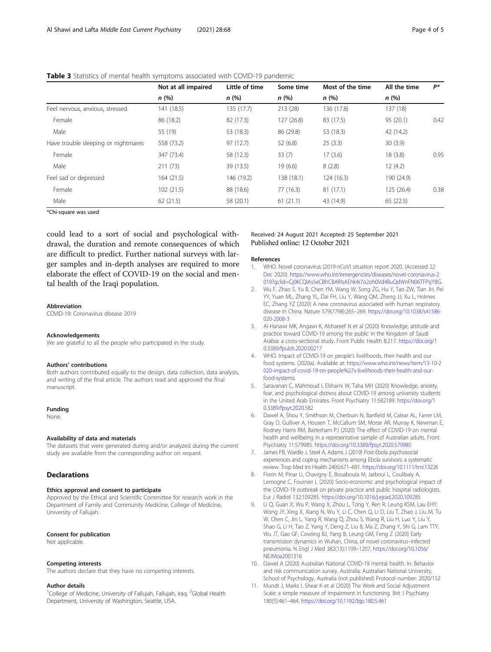|                                     | Not at all impaired<br>n (%) | Little of time<br>n(%) | Some time<br>n (%) | Most of the time<br>n(%) | All the time<br>n(%) | P*   |
|-------------------------------------|------------------------------|------------------------|--------------------|--------------------------|----------------------|------|
|                                     |                              |                        |                    |                          |                      |      |
| Feel nervous, anxious, stressed     | 141 (18.5)                   | 135 (17.7)             | 213(28)            | 136 (17.8)               | 137 (18)             |      |
| Female                              | 86 (18.2)                    | 82 (17.3)              | 127 (26.8)         | 83 (17.5)                | 95 (20.1)            | 0.42 |
| Male                                | 55 (19)                      | 53 (18.3)              | 86 (29.8)          | 53 (18.3)                | 42 (14.2)            |      |
| Have trouble sleeping or nightmares | 558 (73.2)                   | 97(12.7)               | 52(6.8)            | 25(3.3)                  | 30(3.9)              |      |
| Female                              | 347 (73.4)                   | 58 (12.3)              | 33(7)              | 17(3.6)                  | 18(3.8)              | 0.95 |
| Male                                | 211 (73)                     | 39 (13.5)              | 19(6.6)            | 8(2.8)                   | 12(4.2)              |      |
| Feel sad or depressed               | 164(21.5)                    | 146 (19.2)             | 138 (18.1)         | 124 (16.3)               | 190 (24.9)           |      |
| Female                              | 102(21.5)                    | 88 (18.6)              | 77(16.3)           | 81 (17.1)                | 125(26.4)            | 0.38 |
| Male                                | 62(21.5)                     | 58 (20.1)              | 61(21.1)           | 43 (14.9)                | 65 (22.5)            |      |
|                                     |                              |                        |                    |                          |                      |      |

## <span id="page-3-0"></span>Table 3 Statistics of mental health symptoms associated with COVID-19 pandemic

\*Chi-square was used

could lead to a sort of social and psychological withdrawal, the duration and remote consequences of which are difficult to predict. Further national surveys with larger samples and in-depth analyses are required to more elaborate the effect of COVID-19 on the social and mental health of the Iraqi population.

#### Abbreviation

COVID-19: Coronavirus disease 2019

#### **Acknowledgements**

We are grateful to all the people who participated in the study.

#### Authors' contributions

Both authors contributed equally to the design, data collection, data analysis, and writing of the final article. The authors read and approved the final manuscript.

#### Funding

None.

#### Availability of data and materials

The datasets that were generated during and/or analyzed during the current study are available from the corresponding author on request.

## **Declarations**

#### Ethics approval and consent to participate

Approved by the Ethical and Scientific Committee for research work in the Department of Family and Community Medicine, College of Medicine, University of Fallujah.

#### Consent for publication

Not applicable.

#### Competing interests

The authors declare that they have no competing interests.

#### Author details

<sup>1</sup>College of Medicine, University of Fallujah, Fallujah, Iraq. <sup>2</sup>Global Health Department, University of Washington, Seattle, USA.

#### Received: 24 August 2021 Accepted: 25 September 2021 Published online: 12 October 2021

#### References

- 1. WHO. Novel coronavirus (2019-nCoV) situation report 2020. (Accessed 22 Dec 2020). [https://www.who.int/emergencies/diseases/novel-coronavirus-2](https://www.who.int/emergencies/diseases/novel-coronavirus-2019?gclid=Cj0KCQiAs5eCBhCBARIsAEhk4r7o2oh0Vd4BuQdWnFN06TFPsjY8G) [019?gclid=Cj0KCQiAs5eCBhCBARIsAEhk4r7o2oh0Vd4BuQdWnFN06TFPsjY8G](https://www.who.int/emergencies/diseases/novel-coronavirus-2019?gclid=Cj0KCQiAs5eCBhCBARIsAEhk4r7o2oh0Vd4BuQdWnFN06TFPsjY8G).
- 2. Wu F, Zhao S, Yu B, Chen YM, Wang W, Song ZG, Hu Y, Tao ZW, Tian JH, Pei YY, Yuan ML, Zhang YL, Dai FH, Liu Y, Wang QM, Zheng JJ, Xu L, Holmes EC, Zhang YZ (2020) A new coronavirus associated with human respiratory disease in China. Nature 579(7798):265–269. [https://doi.org/10.1038/s41586-](https://doi.org/10.1038/s41586-020-2008-3) [020-2008-3](https://doi.org/10.1038/s41586-020-2008-3)
- 3. Al-Hanawi MK, Angawi K, Alshareef N et al (2020) Knowledge, attitude and practice toward COVID-19 among the public in the Kingdom of Saudi Arabia: a cross-sectional study. Front Public Health 8:217. [https://doi.org/1](https://doi.org/10.3389/fpubh.2020.00217) [0.3389/fpubh.2020.00217](https://doi.org/10.3389/fpubh.2020.00217)
- 4. WHO. Impact of COVID-19 on people's livelihoods, their health and our food systems. (2020a). Available at: [https://www.who.int/news/item/13-10-2](https://www.who.int/news/item/13-10-2020-impact-of-covid-19-on-people%27s-livelihoods-their-health-and-our-food-systems) [020-impact-of-covid-19-on-people%27s-livelihoods-their-health-and-our](https://www.who.int/news/item/13-10-2020-impact-of-covid-19-on-people%27s-livelihoods-their-health-and-our-food-systems)[food-systems](https://www.who.int/news/item/13-10-2020-impact-of-covid-19-on-people%27s-livelihoods-their-health-and-our-food-systems).
- 5. Saravanan C, Mahmoud I, Elshami W, Taha MH (2020) Knowledge, anxiety, fear, and psychological distress about COVID-19 among university students in the United Arab Emirates. Front Psychiatry 11:582189. [https://doi.org/1](https://doi.org/10.3389/fpsyt.2020.582) [0.3389/fpsyt.2020.582](https://doi.org/10.3389/fpsyt.2020.582)
- 6. Dawel A, Shou Y, Smithson M, Cherbuin N, Banfield M, Calear AL, Farrer LM, Gray D, Gulliver A, Housen T, McCallum SM, Morse AR, Murray K, Newman E, Rodney Harris RM, Batterham PJ (2020) The effect of COVID-19 on mental health and wellbeing in a representative sample of Australian adults. Front Psychiatry 11:579985. <https://doi.org/10.3389/fpsyt.2020.579985>
- 7. James PB, Wardle J, Steel A, Adams J (2019) Post-Ebola psychosocial experiences and coping mechanisms among Ebola survivors: a systematic review. Trop Med Int Health 24(6):671–691. <https://doi.org/10.1111/tmi.13226>
- 8. Florin M, Pinar U, Chavigny E, Bouaboula M, Jarboui L, Coulibaly A, Lemogne C, Fournier L (2020) Socio-economic and psychological impact of the COVID-19 outbreak on private practice and public hospital radiologists. Eur J Radiol 132:109285. <https://doi.org/10.1016/j.ejrad.2020.109285>
- 9. Li Q, Guan X, Wu P, Wang X, Zhou L, Tong Y, Ren R, Leung KSM, Lau EHY, Wong JY, Xing X, Xiang N, Wu Y, Li C, Chen Q, Li D, Liu T, Zhao J, Liu M, Tu W, Chen C, Jin L, Yang R, Wang Q, Zhou S, Wang R, Liu H, Luo Y, Liu Y, Shao G, Li H, Tao Z, Yang Y, Deng Z, Liu B, Ma Z, Zhang Y, Shi G, Lam TTY, Wu JT, Gao GF, Cowling BJ, Yang B, Leung GM, Feng Z (2020) Early transmission dynamics in Wuhan, China, of novel coronavirus–infected pneumonia. N Engl J Med 382(13):1199–1207. [https://doi.org/10.1056/](https://doi.org/10.1056/NEJMoa2001316) [NEJMoa2001316](https://doi.org/10.1056/NEJMoa2001316)
- 10. Dawel A (2020) Australian National COVID-19 mental health. In: Behavior and risk communication survey. Australia: Australian National University, School of Psychology, Australia (not published) Protocol number: 2020/152
- 11. Mundt J, Marks I, Shear K et al (2020) The Work and Social Adjustment Scale: a simple measure of impairment in functioning. Brit J Psychiatry 180(5):461–464. <https://doi.org/10.1192/bjp.180.5.461>